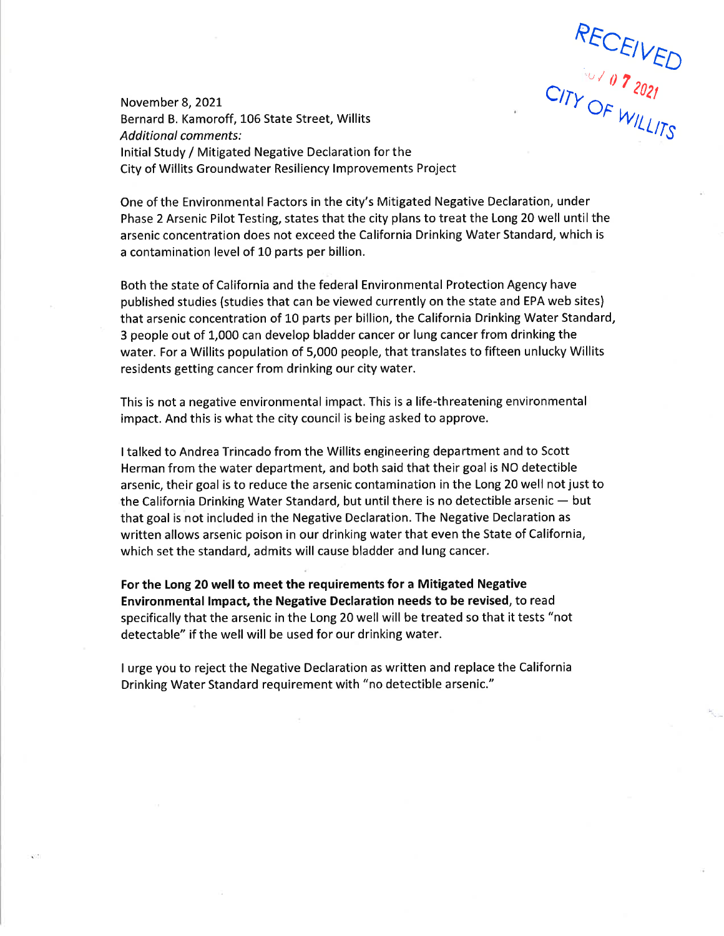RECEIVED

November 8, 2021 Bernard B. Kamoroff, 106 State Street, Willits **Additional comments:** Initial Study / Mitigated Negative Declaration for the City of Willits Groundwater Resiliency Improvements Project

One of the Environmental Factors in the city's Mitigated Negative Declaration, under Phase 2 Arsenic Pilot Testing, states that the city plans to treat the Long 20 well until the arsenic concentration does not exceed the California Drinking Water Standard, which is a contamination level of 10 parts per billion.

Both the state of California and the federal Environmental Protection Agency have published studies (studies that can be viewed currently on the state and EPA web sites) that arsenic concentration of 10 parts per billion, the California Drinking Water Standard, 3 people out of 1,000 can develop bladder cancer or lung cancer from drinking the water. For a Willits population of 5,000 people, that translates to fifteen unlucky Willits residents getting cancer from drinking our city water.

This is not a negative environmental impact. This is a life-threatening environmental impact. And this is what the city council is being asked to approve.

I talked to Andrea Trincado from the Willits engineering department and to Scott Herman from the water department, and both said that their goal is NO detectible arsenic, their goal is to reduce the arsenic contamination in the Long 20 well not just to the California Drinking Water Standard, but until there is no detectible arsenic - but that goal is not included in the Negative Declaration. The Negative Declaration as written allows arsenic poison in our drinking water that even the State of California, which set the standard, admits will cause bladder and lung cancer.

For the Long 20 well to meet the requirements for a Mitigated Negative Environmental Impact, the Negative Declaration needs to be revised, to read specifically that the arsenic in the Long 20 well will be treated so that it tests "not detectable" if the well will be used for our drinking water.

I urge you to reject the Negative Declaration as written and replace the California Drinking Water Standard requirement with "no detectible arsenic."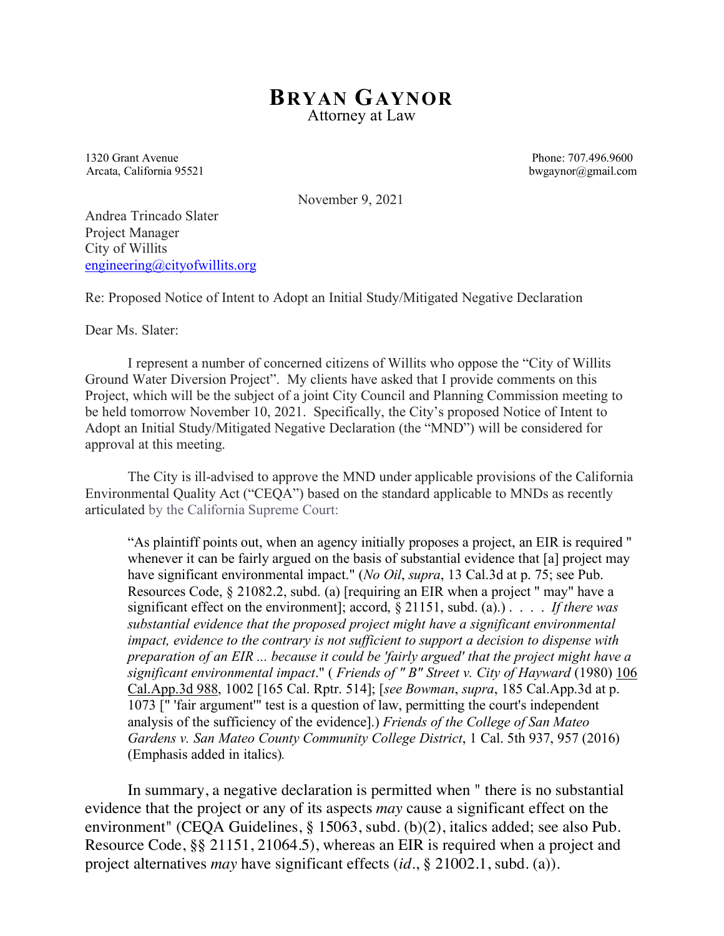## **BRYAN GAYNOR** Attorney at Law

1320 Grant Avenue Phone: 707.496.9600 Arcata, California 95521 bwgaynor@gmail.com

November 9, 2021

Andrea Trincado Slater Project Manager City of Willits engineering@cityofwillits.org

Re: Proposed Notice of Intent to Adopt an Initial Study/Mitigated Negative Declaration

Dear Ms. Slater:

I represent a number of concerned citizens of Willits who oppose the "City of Willits Ground Water Diversion Project". My clients have asked that I provide comments on this Project, which will be the subject of a joint City Council and Planning Commission meeting to be held tomorrow November 10, 2021. Specifically, the City's proposed Notice of Intent to Adopt an Initial Study/Mitigated Negative Declaration (the "MND") will be considered for approval at this meeting.

The City is ill-advised to approve the MND under applicable provisions of the California Environmental Quality Act ("CEQA") based on the standard applicable to MNDs as recently articulated by the California Supreme Court:

"As plaintiff points out, when an agency initially proposes a project, an EIR is required " whenever it can be fairly argued on the basis of substantial evidence that [a] project may have significant environmental impact." (*No Oil*, *supra*, 13 Cal.3d at p. 75; see Pub. Resources Code, § 21082.2, subd. (a) [requiring an EIR when a project " may" have a significant effect on the environment]; accord, § 21151, subd. (a).) . . . . *If there was substantial evidence that the proposed project might have a significant environmental impact, evidence to the contrary is not sufficient to support a decision to dispense with preparation of an EIR ... because it could be 'fairly argued' that the project might have a significant environmental impact*." ( *Friends of " B" Street v. City of Hayward* (1980) 106 Cal.App.3d 988, 1002 [165 Cal. Rptr. 514]; [*see Bowman*, *supra*, 185 Cal.App.3d at p. 1073 [" 'fair argument'" test is a question of law, permitting the court's independent analysis of the sufficiency of the evidence].) *Friends of the College of San Mateo Gardens v. San Mateo County Community College District*, 1 Cal. 5th 937, 957 (2016) (Emphasis added in italics)*.*

In summary, a negative declaration is permitted when " there is no substantial evidence that the project or any of its aspects *may* cause a significant effect on the environment" (CEQA Guidelines, § 15063, subd. (b)(2), italics added; see also Pub. Resource Code, §§ 21151, 21064.5), whereas an EIR is required when a project and project alternatives *may* have significant effects (*id.*, § 21002.1, subd. (a)).